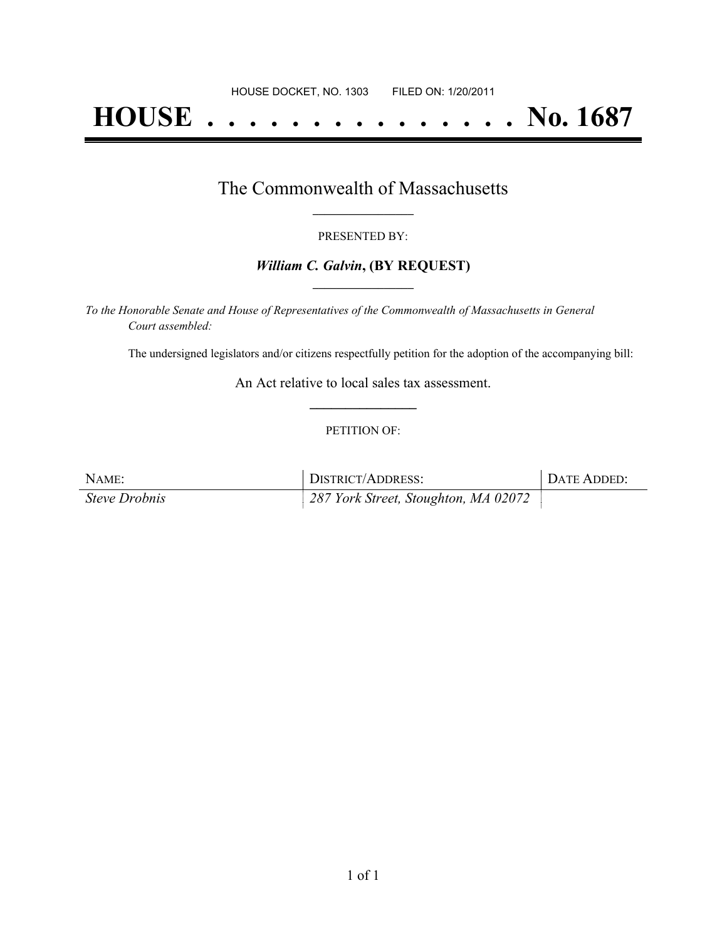# **HOUSE . . . . . . . . . . . . . . . No. 1687**

### The Commonwealth of Massachusetts **\_\_\_\_\_\_\_\_\_\_\_\_\_\_\_\_\_**

#### PRESENTED BY:

#### *William C. Galvin***, (BY REQUEST) \_\_\_\_\_\_\_\_\_\_\_\_\_\_\_\_\_**

*To the Honorable Senate and House of Representatives of the Commonwealth of Massachusetts in General Court assembled:*

The undersigned legislators and/or citizens respectfully petition for the adoption of the accompanying bill:

An Act relative to local sales tax assessment. **\_\_\_\_\_\_\_\_\_\_\_\_\_\_\_**

#### PETITION OF:

| NAME:                | DISTRICT/ADDRESS:                    | DATE ADDED: |
|----------------------|--------------------------------------|-------------|
| <b>Steve Drobnis</b> | 287 York Street, Stoughton, MA 02072 |             |